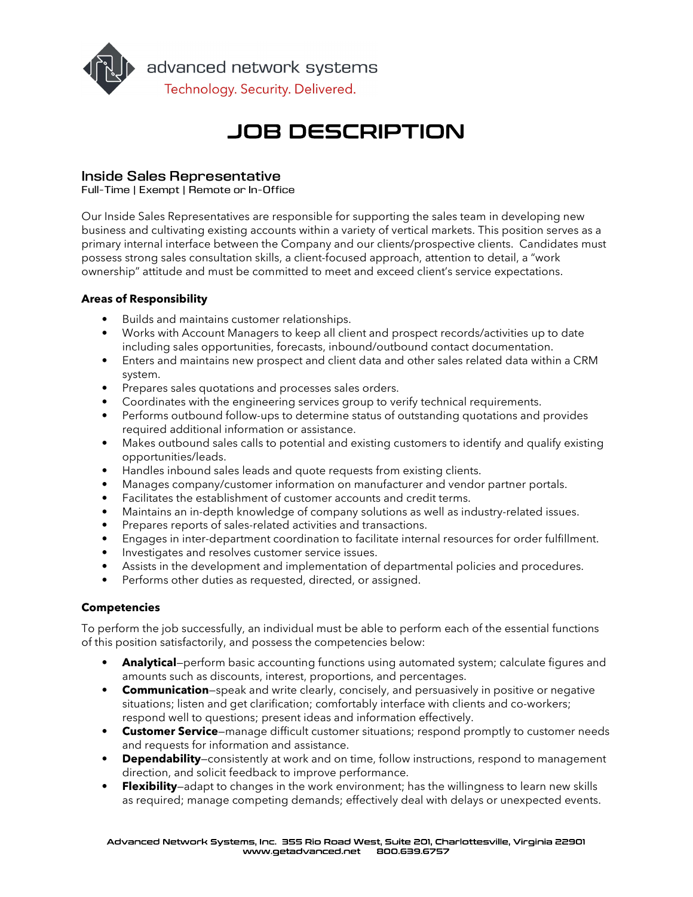

# **JOB DESCRIPTION**

# Inside Sales Representative

Full-Time | Exempt | Remote or In-Office

Our Inside Sales Representatives are responsible for supporting the sales team in developing new business and cultivating existing accounts within a variety of vertical markets. This position serves as a primary internal interface between the Company and our clients/prospective clients. Candidates must possess strong sales consultation skills, a client-focused approach, attention to detail, a "work ownership" attitude and must be committed to meet and exceed client's service expectations.

# Areas of Responsibility

- Builds and maintains customer relationships.
- Works with Account Managers to keep all client and prospect records/activities up to date including sales opportunities, forecasts, inbound/outbound contact documentation.
- Enters and maintains new prospect and client data and other sales related data within a CRM system.
- Prepares sales quotations and processes sales orders.
- Coordinates with the engineering services group to verify technical requirements.
- Performs outbound follow-ups to determine status of outstanding quotations and provides required additional information or assistance.
- Makes outbound sales calls to potential and existing customers to identify and qualify existing opportunities/leads.
- Handles inbound sales leads and quote requests from existing clients.
- Manages company/customer information on manufacturer and vendor partner portals.
- Facilitates the establishment of customer accounts and credit terms.
- Maintains an in-depth knowledge of company solutions as well as industry-related issues.
- Prepares reports of sales-related activities and transactions.
- Engages in inter-department coordination to facilitate internal resources for order fulfillment.
- Investigates and resolves customer service issues.
- Assists in the development and implementation of departmental policies and procedures.
- Performs other duties as requested, directed, or assigned.

## Competencies

To perform the job successfully, an individual must be able to perform each of the essential functions of this position satisfactorily, and possess the competencies below:

- Analytical–perform basic accounting functions using automated system; calculate figures and amounts such as discounts, interest, proportions, and percentages.
- Communication–speak and write clearly, concisely, and persuasively in positive or negative situations; listen and get clarification; comfortably interface with clients and co-workers; respond well to questions; present ideas and information effectively.
- Customer Service–manage difficult customer situations; respond promptly to customer needs and requests for information and assistance.
- Dependability–consistently at work and on time, follow instructions, respond to management direction, and solicit feedback to improve performance.
- Flexibility—adapt to changes in the work environment; has the willingness to learn new skills as required; manage competing demands; effectively deal with delays or unexpected events.